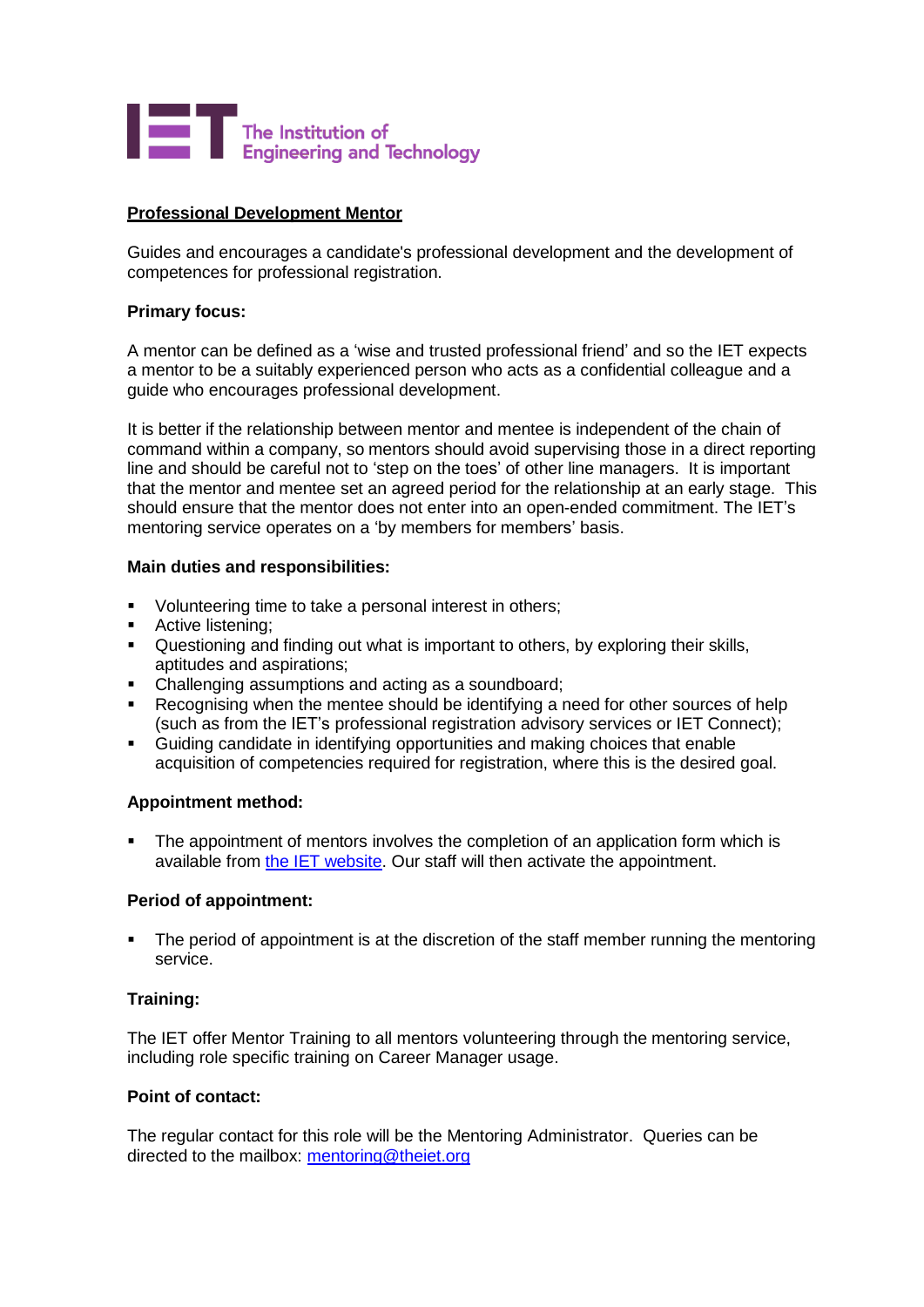

# **Professional Development Mentor**

Guides and encourages a candidate's professional development and the development of competences for professional registration.

## **Primary focus:**

A mentor can be defined as a 'wise and trusted professional friend' and so the IET expects a mentor to be a suitably experienced person who acts as a confidential colleague and a guide who encourages professional development.

It is better if the relationship between mentor and mentee is independent of the chain of command within a company, so mentors should avoid supervising those in a direct reporting line and should be careful not to 'step on the toes' of other line managers. It is important that the mentor and mentee set an agreed period for the relationship at an early stage. This should ensure that the mentor does not enter into an open-ended commitment. The IET's mentoring service operates on a 'by members for members' basis.

## **Main duties and responsibilities:**

- Volunteering time to take a personal interest in others;
- Active listening;
- **•** Questioning and finding out what is important to others, by exploring their skills, aptitudes and aspirations;
- Challenging assumptions and acting as a soundboard;
- Recognising when the mentee should be identifying a need for other sources of help (such as from the IET's professional registration advisory services or IET Connect);
- Guiding candidate in identifying opportunities and making choices that enable acquisition of competencies required for registration, where this is the desired goal.

#### **Appointment method:**

The appointment of mentors involves the completion of an application form which is available from the [IET website.](http://www.theiet.org/membership/career/mentoring/iservice/bementor/mentor-form-2014.cfm) Our staff will then activate the appointment.

#### **Period of appointment:**

The period of appointment is at the discretion of the staff member running the mentoring service.

# **Training:**

The IET offer Mentor Training to all mentors volunteering through the mentoring service, including role specific training on Career Manager usage.

#### **Point of contact:**

The regular contact for this role will be the Mentoring Administrator. Queries can be directed to the mailbox: [mentoring@theiet.org](mailto:mentoring@theiet.org)